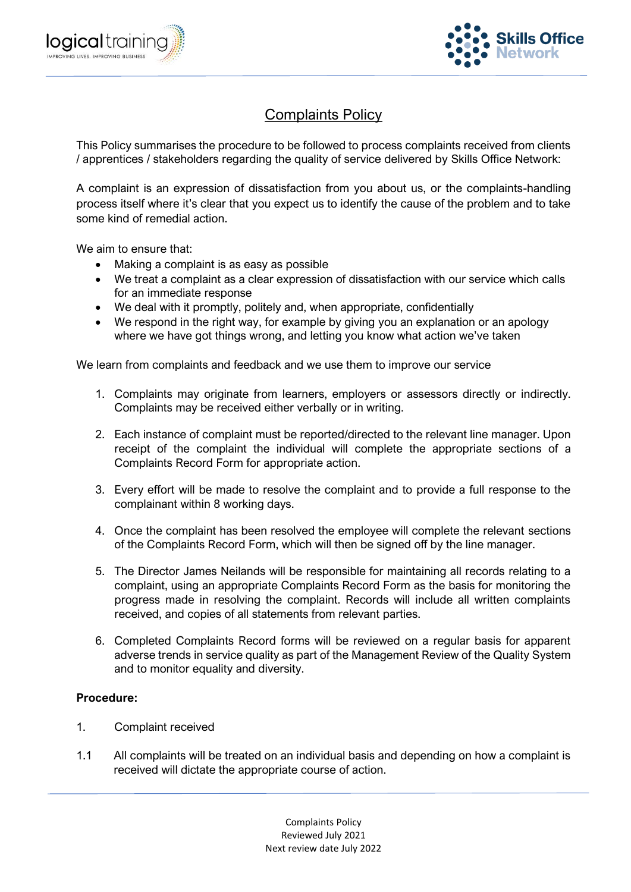



## Complaints Policy

This Policy summarises the procedure to be followed to process complaints received from clients / apprentices / stakeholders regarding the quality of service delivered by Skills Office Network:

A complaint is an expression of dissatisfaction from you about us, or the complaints-handling process itself where it's clear that you expect us to identify the cause of the problem and to take some kind of remedial action.

We aim to ensure that:

- Making a complaint is as easy as possible
- We treat a complaint as a clear expression of dissatisfaction with our service which calls for an immediate response
- We deal with it promptly, politely and, when appropriate, confidentially
- We respond in the right way, for example by giving you an explanation or an apology where we have got things wrong, and letting you know what action we've taken

We learn from complaints and feedback and we use them to improve our service

- 1. Complaints may originate from learners, employers or assessors directly or indirectly. Complaints may be received either verbally or in writing.
- 2. Each instance of complaint must be reported/directed to the relevant line manager. Upon receipt of the complaint the individual will complete the appropriate sections of a Complaints Record Form for appropriate action.
- 3. Every effort will be made to resolve the complaint and to provide a full response to the complainant within 8 working days.
- 4. Once the complaint has been resolved the employee will complete the relevant sections of the Complaints Record Form, which will then be signed off by the line manager.
- 5. The Director James Neilands will be responsible for maintaining all records relating to a complaint, using an appropriate Complaints Record Form as the basis for monitoring the progress made in resolving the complaint. Records will include all written complaints received, and copies of all statements from relevant parties.
- 6. Completed Complaints Record forms will be reviewed on a regular basis for apparent adverse trends in service quality as part of the Management Review of the Quality System and to monitor equality and diversity.

## **Procedure:**

- 1. Complaint received
- 1.1 All complaints will be treated on an individual basis and depending on how a complaint is received will dictate the appropriate course of action.

Complaints Policy Reviewed July 2021 Next review date July 2022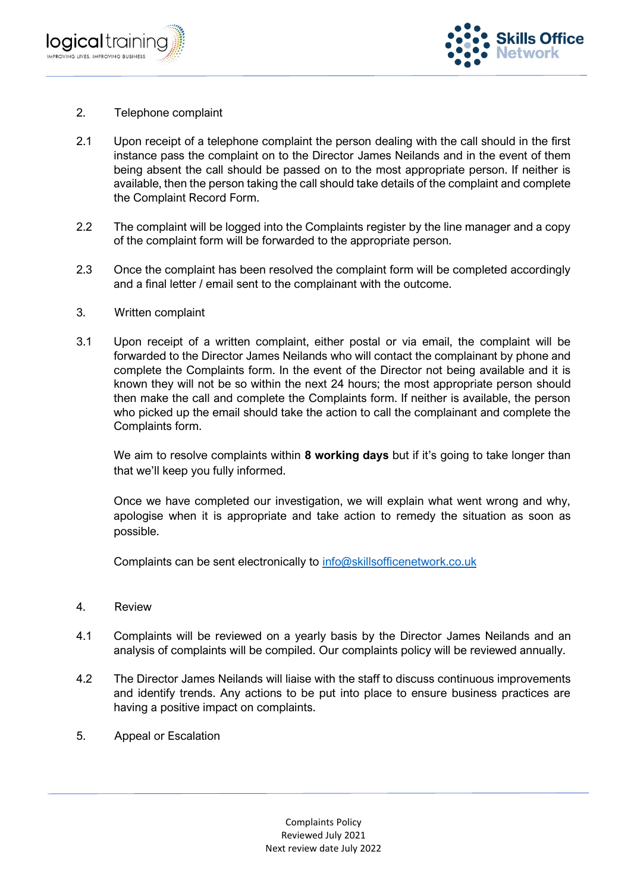



- 2. Telephone complaint
- 2.1 Upon receipt of a telephone complaint the person dealing with the call should in the first instance pass the complaint on to the Director James Neilands and in the event of them being absent the call should be passed on to the most appropriate person. If neither is available, then the person taking the call should take details of the complaint and complete the Complaint Record Form.
- 2.2 The complaint will be logged into the Complaints register by the line manager and a copy of the complaint form will be forwarded to the appropriate person.
- 2.3 Once the complaint has been resolved the complaint form will be completed accordingly and a final letter / email sent to the complainant with the outcome.
- 3. Written complaint
- 3.1 Upon receipt of a written complaint, either postal or via email, the complaint will be forwarded to the Director James Neilands who will contact the complainant by phone and complete the Complaints form. In the event of the Director not being available and it is known they will not be so within the next 24 hours; the most appropriate person should then make the call and complete the Complaints form. If neither is available, the person who picked up the email should take the action to call the complainant and complete the Complaints form.

We aim to resolve complaints within **8 working days** but if it's going to take longer than that we'll keep you fully informed.

Once we have completed our investigation, we will explain what went wrong and why, apologise when it is appropriate and take action to remedy the situation as soon as possible.

Complaints can be sent electronically to [info@skillsofficenetwork.co.uk](mailto:info@skillsofficenetwork.co.uk)

- 4. Review
- 4.1 Complaints will be reviewed on a yearly basis by the Director James Neilands and an analysis of complaints will be compiled. Our complaints policy will be reviewed annually.
- 4.2 The Director James Neilands will liaise with the staff to discuss continuous improvements and identify trends. Any actions to be put into place to ensure business practices are having a positive impact on complaints.
- 5. Appeal or Escalation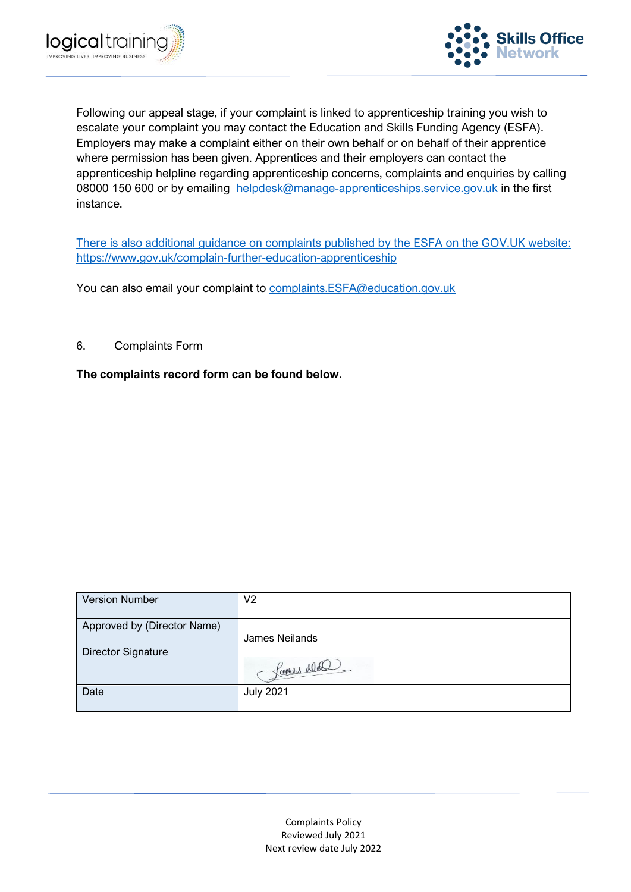



Following our appeal stage, if your complaint is linked to apprenticeship training you wish to escalate your complaint you may contact the Education and Skills Funding Agency (ESFA). Employers may make a complaint either on their own behalf or on behalf of their apprentice where permission has been given. Apprentices and their employers can contact the apprenticeship helpline regarding apprenticeship concerns, complaints and enquiries by calling 08000 150 600 or by emailing [helpdesk@manage-apprenticeships.service.gov.uk i](mailto:nationalhelpdesk@apprenticeships.gov.uk)n the first instance.

[There is also additional guidance on complaints published by the ESFA on the GOV.UK website:](https://www.gov.uk/government/publications/complaints-about-post-16-education-and-training-provision-funded-by-esfa)  [https://www.gov.uk/complain-further-education-apprenticeship](https://www.gov.uk/government/publications/complaints-about-post-16-education-and-training-provision-funded-by-esfa) 

You can also email your complaint to [complaints.ESFA@education.gov.uk](mailto:complaints.ESFA@education.gov.uk)

6. Complaints Form

**The complaints record form can be found below.**

| <b>Version Number</b>       | V2               |
|-----------------------------|------------------|
| Approved by (Director Name) |                  |
|                             | James Neilands   |
| <b>Director Signature</b>   |                  |
|                             | Lanes ald        |
| Date                        | <b>July 2021</b> |
|                             |                  |